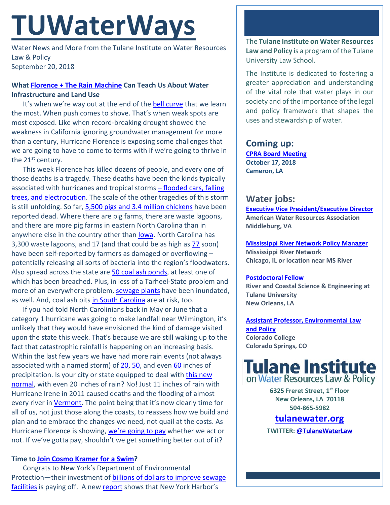# **TUWaterWays**

Water News and More from the Tulane Institute on Water Resources Law & Policy September 20, 2018

## **What [Florence + The Rain Machine](https://www.youtube.com/watch?v=wiDIObd8YaI) Can Teach Us About Water Infrastructure and Land Use**

It's when we're way out at the end of the [bell curve](https://static1.squarespace.com/static/5668d649df40f341d2ac4a12/5669d30cc03355b914a0ae9a/5669d6e0c03355b914a0ca60/1449776864716/bellcurve.jpg?format=original) that we learn the most. When push comes to shove. That's when weak spots are most exposed. Like when record-breaking drought showed the weakness in California ignoring groundwater management for more than a century, Hurricane Florence is exposing some challenges that we are going to have to come to terms with if we're going to thrive in the 21<sup>st</sup> century.

This week Florence has killed dozens of people, and every one of those deaths is a tragedy. These deaths have been the kinds typically associated with hurricanes and tropical storms – [flooded cars, falling](http://www.latimes.com/nation/la-na-hurricane-deaths-20180918-story.html)  [trees, and electrocution.](http://www.latimes.com/nation/la-na-hurricane-deaths-20180918-story.html) The scale of the other tragedies of this storm is still unfolding. So far, [5,500 pigs and 3.4 million chickens](https://www.newsobserver.com/news/local/article218610365.html) have been reported dead. Where there are pig farms, there are waste lagoons, and there are more pig farms in eastern North Carolina than in anywhere else in the country other than **lowa**. North Carolina has 3,300 waste lagoons, and 17 (and that could be as high as [77](https://www.nytimes.com/2018/09/19/climate/florence-hog-farms.html) soon) have been self-reported by farmers as damaged or overflowing – potentially releasing all sorts of bacteria into the region's floodwaters. Also spread across the state are [50 coal ash ponds,](http://www.southeastcoalash.org/about-coal-ash/find-your-state/north-carolina/) at least one of which has been breached. Plus, in less of a Tarheel-State problem and more of an everywhere problem, [sewage plants](https://www.heraldonline.com/latest-news/article218510020.html) have been inundated, as well. And, coal ash pits [in South Carolina](https://www.postandcourier.com/news/outside-help-enlisted-to-secure-sc-coal-ash-pits-from/article_c3a7f058-bb64-11e8-a8cc-dfcfe80e5efc.html) are at risk, too.

If you had told North Carolinians back in May or June that a category 1 hurricane was going to make landfall near Wilmington, it's unlikely that they would have envisioned the kind of damage visited upon the state this week. That's because we are still waking up to the fact that catastrophic rainfall is happening on an increasing basis. Within the last few years we have had more rain events (not always associated with a named storm) of [20,](https://en.wikipedia.org/wiki/2016_Louisiana_floods) [50,](https://www.cnn.com/2018/08/28/us/hawaii-tropical-storm-lane-flooding-wxc/index.html) and even [60](https://www.chron.com/about/article/Weather-service-confirms-64-inches-of-rain-fell-12233072.php) inches of precipitation. Is your city or state equipped to deal with this new [normal,](https://www.nsf.gov/news/news_summ.jsp?cntn_id=245396) with even 20 inches of rain? No! Just 11 inches of rain with Hurricane Irene in 2011 caused deaths and the flooding of almost every river i[n Vermont.](http://edition.cnn.com/2011/US/08/29/irene.vermont/index.html) The point being that it's now clearly time for all of us, not just those along the coasts, to reassess how we build and plan and to embrace the changes we need, not quail at the costs. As Hurricane Florence is showing, [we're going to pay](https://www.cnbc.com/2018/09/17/moodys-hurricane-florence-damage-estimated-at-17-to-22-billion.html) whether we act or not. If we've gotta pay, shouldn't we get something better out of it?

## **Time t[o Join Cosmo Kramer for a Swim?](https://www.youtube.com/watch?v=0hK3pBcY3k0)**

Congrats to New York's Department of Environmental Protection—their investment of [billions of dollars to improve sewage](https://patch.com/new-york/downtown-nyc/new-york-harbor-cleanest-it-has-been-century-study)  [facilities](https://patch.com/new-york/downtown-nyc/new-york-harbor-cleanest-it-has-been-century-study) is paying off. A new [report](http://www.nyc.gov/html/dep/pdf/hwqs2017.pdf) shows that New York Harbor's

The **Tulane Institute on Water Resources Law and Policy** is a program of the Tulane University Law School.

The Institute is dedicated to fostering a greater appreciation and understanding of the vital role that water plays in our society and of the importance of the legal and policy framework that shapes the uses and stewardship of water.

### **Coming up: [CPRA Board Meeting](http://coastal.la.gov/calendar/) October 17, 2018**

**Cameron, LA**

# **Water jobs:**

**[Executive Vice President/Executive Director](https://careerhq.asaecenter.org/jobs/11460403/executive-vice-president-executive-director) American Water Resources Association Middleburg, VA**

**[Mississippi River Network Policy Manager](https://www.idealist.org/en/nonprofit-job/b9a7d780cf8a4b1a834479d85f47638f-mississippi-river-network-policy-manager-mississippi-river-network-chicago) Mississippi River Network Chicago, IL or location near MS River**

## **[Postdoctoral Fellow](https://jobs.nola.com/Job/53600891/research-associate-job-in-new-orleans-la?source=1)**

**River and Coastal Science & Engineering at Tulane University New Orleans, LA**

**[Assistant Professor, Environmental Law](https://employment.coloradocollege.edu/postings/3477)  [and Policy](https://employment.coloradocollege.edu/postings/3477) Colorado College Colorado Springs, CO**



**6325 Freret Street, 1st Floor New Orleans, LA 70118 504-865-5982** 

# **tulanewater.org**

**TWITTER[: @TulaneWaterLaw](http://www.twitter.com/TulaneWaterLaw)**